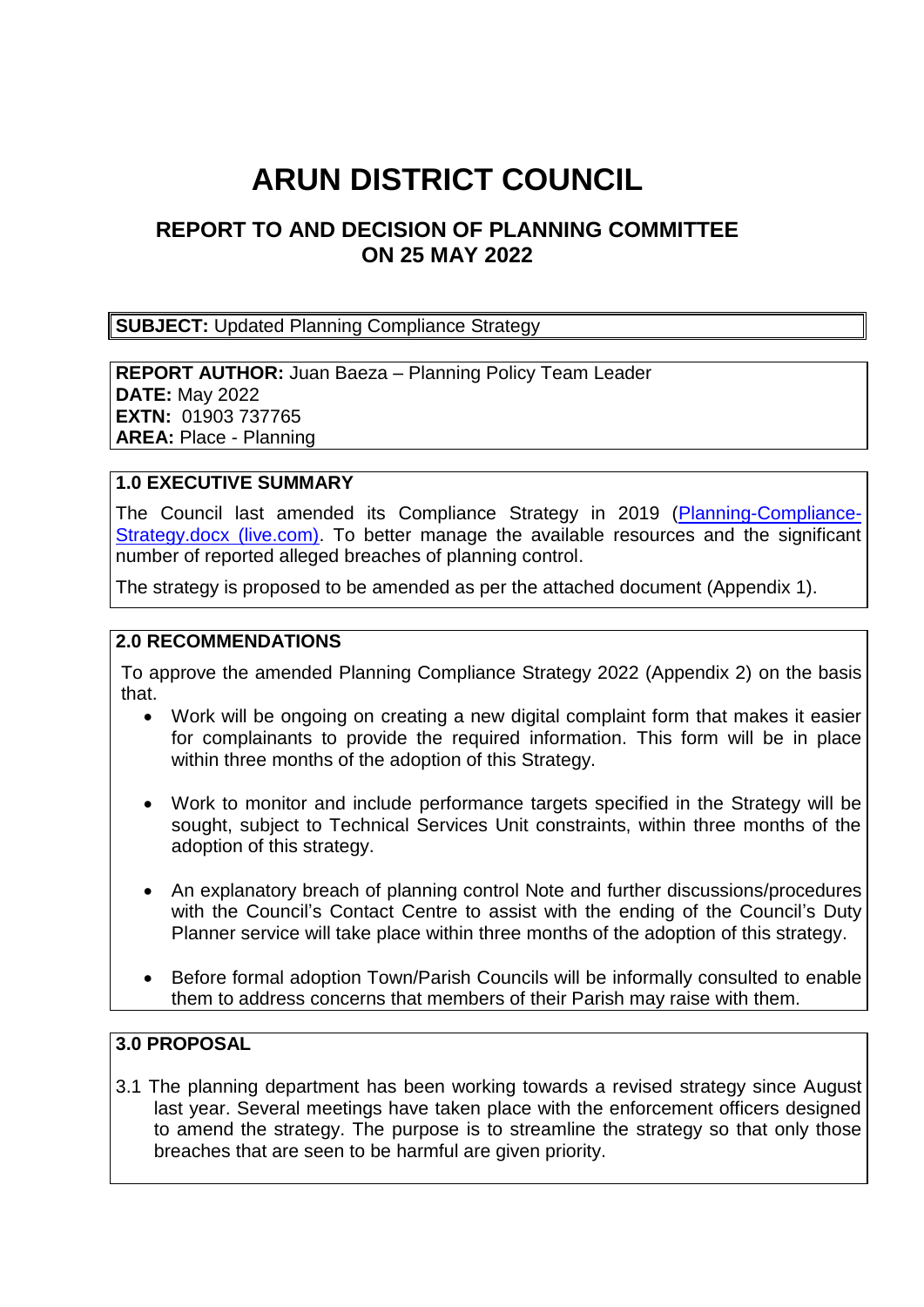# **ARUN DISTRICT COUNCIL**

# **REPORT TO AND DECISION OF PLANNING COMMITTEE ON 25 MAY 2022**

**SUBJECT:** Updated Planning Compliance Strategy

**REPORT AUTHOR:** Juan Baeza – Planning Policy Team Leader **DATE:** May 2022 **EXTN:** 01903 737765 **AREA: Place - Planning** 

#### **1.0 EXECUTIVE SUMMARY**

The Council last amended its Compliance Strategy in 2019 [\(Planning-Compliance-](https://view.officeapps.live.com/op/view.aspx?src=https%3A%2F%2Fwww.arun.gov.uk%2Fdownload.cfm%3Fdoc%3Ddocm93jijm4n13857.docx%26ver%3D14095&wdOrigin=BROWSELINK)[Strategy.docx \(live.com\).](https://view.officeapps.live.com/op/view.aspx?src=https%3A%2F%2Fwww.arun.gov.uk%2Fdownload.cfm%3Fdoc%3Ddocm93jijm4n13857.docx%26ver%3D14095&wdOrigin=BROWSELINK) To better manage the available resources and the significant number of reported alleged breaches of planning control.

The strategy is proposed to be amended as per the attached document (Appendix 1).

#### **2.0 RECOMMENDATIONS**

To approve the amended Planning Compliance Strategy 2022 (Appendix 2) on the basis that.

- Work will be ongoing on creating a new digital complaint form that makes it easier for complainants to provide the required information. This form will be in place within three months of the adoption of this Strategy.
- Work to monitor and include performance targets specified in the Strategy will be sought, subject to Technical Services Unit constraints, within three months of the adoption of this strategy.
- An explanatory breach of planning control Note and further discussions/procedures with the Council's Contact Centre to assist with the ending of the Council's Duty Planner service will take place within three months of the adoption of this strategy.
- Before formal adoption Town/Parish Councils will be informally consulted to enable them to address concerns that members of their Parish may raise with them.

#### **3.0 PROPOSAL**

3.1 The planning department has been working towards a revised strategy since August last year. Several meetings have taken place with the enforcement officers designed to amend the strategy. The purpose is to streamline the strategy so that only those breaches that are seen to be harmful are given priority.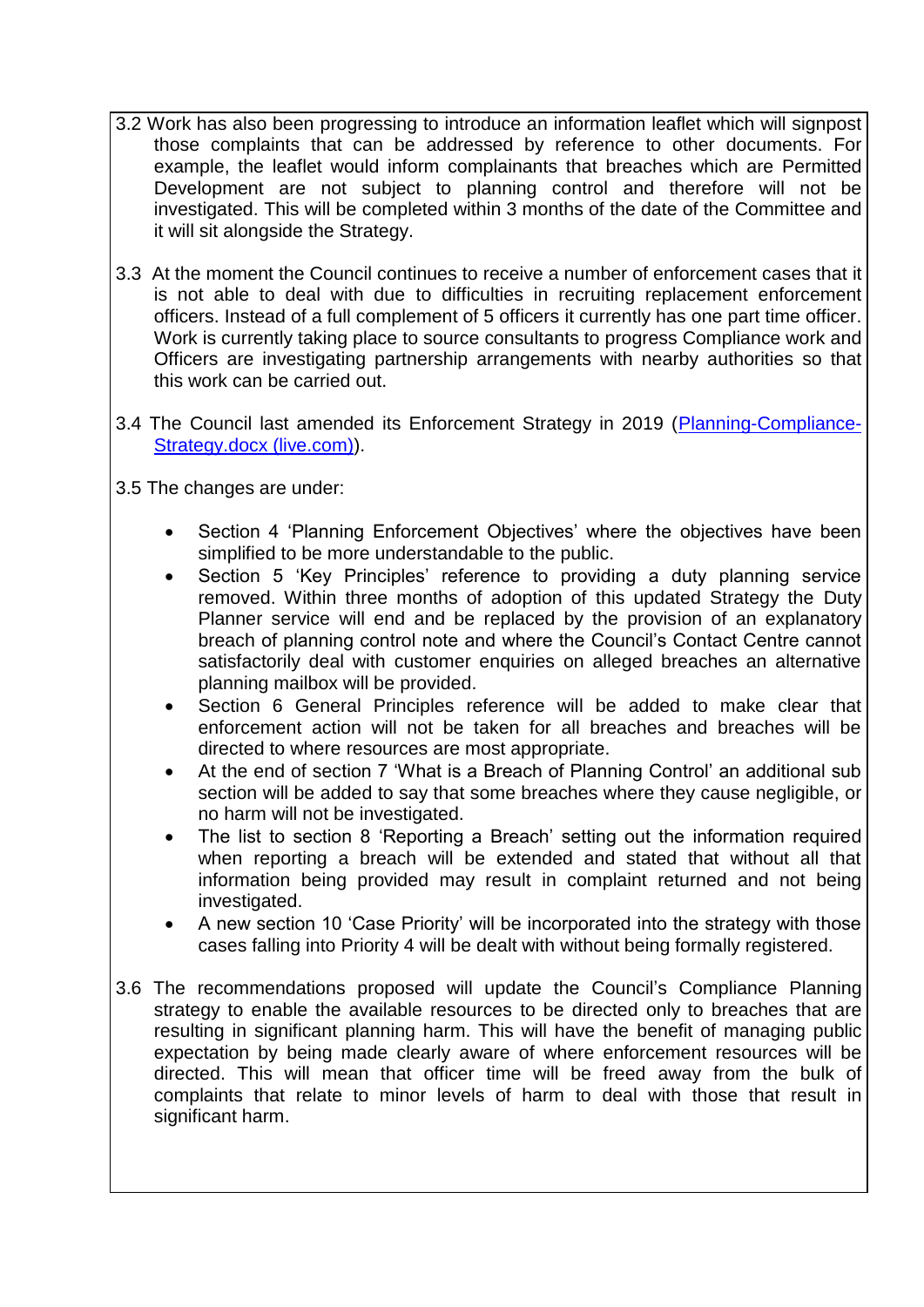- 3.2 Work has also been progressing to introduce an information leaflet which will signpost those complaints that can be addressed by reference to other documents. For example, the leaflet would inform complainants that breaches which are Permitted Development are not subject to planning control and therefore will not be investigated. This will be completed within 3 months of the date of the Committee and it will sit alongside the Strategy.
- 3.3 At the moment the Council continues to receive a number of enforcement cases that it is not able to deal with due to difficulties in recruiting replacement enforcement officers. Instead of a full complement of 5 officers it currently has one part time officer. Work is currently taking place to source consultants to progress Compliance work and Officers are investigating partnership arrangements with nearby authorities so that this work can be carried out.
- 3.4 The Council last amended its Enforcement Strategy in 2019 [\(Planning-Compliance-](https://view.officeapps.live.com/op/view.aspx?src=https%3A%2F%2Fwww.arun.gov.uk%2Fdownload.cfm%3Fdoc%3Ddocm93jijm4n13857.docx%26ver%3D14095&wdOrigin=BROWSELINK)[Strategy.docx \(live.com\)\)](https://view.officeapps.live.com/op/view.aspx?src=https%3A%2F%2Fwww.arun.gov.uk%2Fdownload.cfm%3Fdoc%3Ddocm93jijm4n13857.docx%26ver%3D14095&wdOrigin=BROWSELINK).
- 3.5 The changes are under:
	- Section 4 'Planning Enforcement Objectives' where the objectives have been simplified to be more understandable to the public.
	- Section 5 'Key Principles' reference to providing a duty planning service removed. Within three months of adoption of this updated Strategy the Duty Planner service will end and be replaced by the provision of an explanatory breach of planning control note and where the Council's Contact Centre cannot satisfactorily deal with customer enquiries on alleged breaches an alternative planning mailbox will be provided.
	- Section 6 General Principles reference will be added to make clear that enforcement action will not be taken for all breaches and breaches will be directed to where resources are most appropriate.
	- At the end of section 7 'What is a Breach of Planning Control' an additional sub section will be added to say that some breaches where they cause negligible, or no harm will not be investigated.
	- The list to section 8 'Reporting a Breach' setting out the information required when reporting a breach will be extended and stated that without all that information being provided may result in complaint returned and not being investigated.
	- A new section 10 'Case Priority' will be incorporated into the strategy with those cases falling into Priority 4 will be dealt with without being formally registered.
- 3.6 The recommendations proposed will update the Council's Compliance Planning strategy to enable the available resources to be directed only to breaches that are resulting in significant planning harm. This will have the benefit of managing public expectation by being made clearly aware of where enforcement resources will be directed. This will mean that officer time will be freed away from the bulk of complaints that relate to minor levels of harm to deal with those that result in significant harm.